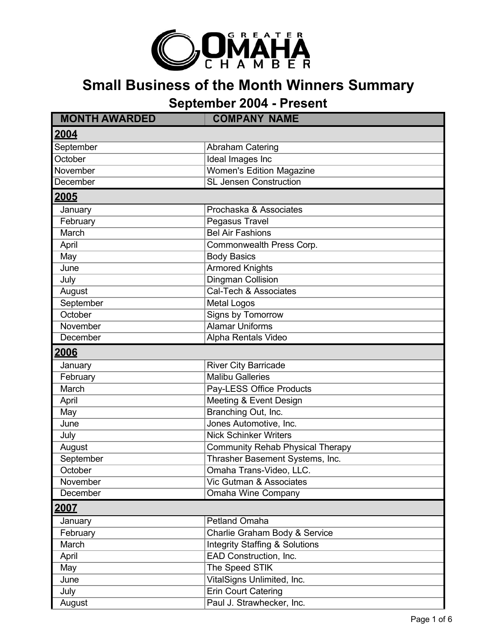

## **Small Business of the Month Winners Summary**

**September 2004 - Present**

| <b>MONTH AWARDED</b> | <b>COMPANY NAME</b>                       |
|----------------------|-------------------------------------------|
| 2004                 |                                           |
| September            | <b>Abraham Catering</b>                   |
| October              | Ideal Images Inc                          |
| November             | <b>Women's Edition Magazine</b>           |
| December             | <b>SL Jensen Construction</b>             |
| 2005                 |                                           |
| January              | Prochaska & Associates                    |
| February             | Pegasus Travel                            |
| March                | <b>Bel Air Fashions</b>                   |
| April                | Commonwealth Press Corp.                  |
| May                  | <b>Body Basics</b>                        |
| June                 | <b>Armored Knights</b>                    |
| July                 | Dingman Collision                         |
| August               | Cal-Tech & Associates                     |
| September            | <b>Metal Logos</b>                        |
| October              | Signs by Tomorrow                         |
| November             | <b>Alamar Uniforms</b>                    |
| December             | Alpha Rentals Video                       |
| <u> 2006</u>         |                                           |
| January              | <b>River City Barricade</b>               |
| February             | <b>Malibu Galleries</b>                   |
| March                | Pay-LESS Office Products                  |
| April                | Meeting & Event Design                    |
| May                  | Branching Out, Inc.                       |
| June                 | Jones Automotive, Inc.                    |
| July                 | <b>Nick Schinker Writers</b>              |
| August               | <b>Community Rehab Physical Therapy</b>   |
| September            | Thrasher Basement Systems, Inc.           |
| October              | Omaha Trans-Video, LLC.                   |
| November             | Vic Gutman & Associates                   |
| December             | <b>Omaha Wine Company</b>                 |
| 2007                 |                                           |
| January              | <b>Petland Omaha</b>                      |
| February             | Charlie Graham Body & Service             |
| March                | <b>Integrity Staffing &amp; Solutions</b> |
| April                | EAD Construction, Inc.                    |
| May                  | The Speed STIK                            |
| June                 | VitalSigns Unlimited, Inc.                |
| July                 | Erin Court Catering                       |
| August               | Paul J. Strawhecker, Inc.                 |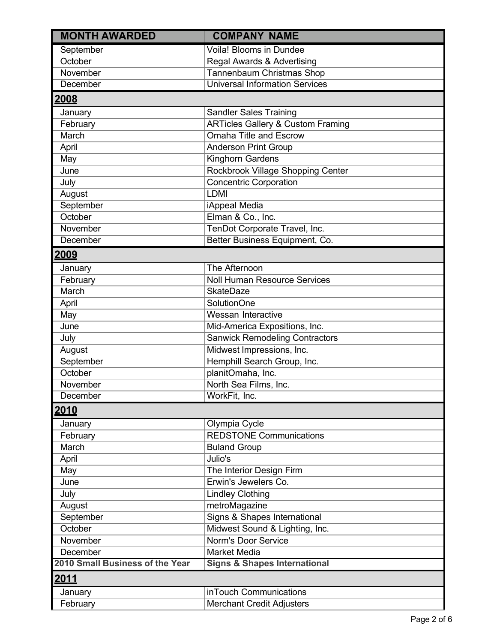| <b>MONTH AWARDED</b>            | <b>COMPANY NAME</b>                          |
|---------------------------------|----------------------------------------------|
| September                       | Voila! Blooms in Dundee                      |
| October                         | Regal Awards & Advertising                   |
| November                        | Tannenbaum Christmas Shop                    |
| December                        | <b>Universal Information Services</b>        |
| 2008                            |                                              |
| January                         | <b>Sandler Sales Training</b>                |
| February                        | <b>ARTicles Gallery &amp; Custom Framing</b> |
| March                           | <b>Omaha Title and Escrow</b>                |
| April                           | <b>Anderson Print Group</b>                  |
| May                             | Kinghorn Gardens                             |
| June                            | Rockbrook Village Shopping Center            |
| July                            | <b>Concentric Corporation</b>                |
| August                          | <b>LDMI</b>                                  |
| September                       | iAppeal Media                                |
| October                         | Elman & Co., Inc.                            |
| November                        | TenDot Corporate Travel, Inc.                |
| December                        | Better Business Equipment, Co.               |
| 2009                            |                                              |
| January                         | The Afternoon                                |
| February                        | <b>Noll Human Resource Services</b>          |
| March                           | <b>SkateDaze</b>                             |
| April                           | <b>SolutionOne</b>                           |
| May                             | Wessan Interactive                           |
| June                            | Mid-America Expositions, Inc.                |
| July                            | <b>Sanwick Remodeling Contractors</b>        |
| August                          | Midwest Impressions, Inc.                    |
| September                       | Hemphill Search Group, Inc.                  |
| October                         | planitOmaha, Inc.                            |
| November                        | North Sea Films, Inc.                        |
| December                        | WorkFit, Inc.                                |
| <u>2010</u>                     |                                              |
| January                         | Olympia Cycle                                |
| February                        | <b>REDSTONE Communications</b>               |
| March                           | <b>Buland Group</b>                          |
| April                           | Julio's                                      |
| May                             | The Interior Design Firm                     |
| June                            | Erwin's Jewelers Co.                         |
| July                            | <b>Lindley Clothing</b>                      |
| August                          | metroMagazine                                |
| September                       | Signs & Shapes International                 |
| October                         | Midwest Sound & Lighting, Inc.               |
| November                        | Norm's Door Service                          |
| December                        | <b>Market Media</b>                          |
| 2010 Small Business of the Year | <b>Signs &amp; Shapes International</b>      |
| <u> 2011 </u>                   |                                              |
| January                         | inTouch Communications                       |
| February                        | <b>Merchant Credit Adjusters</b>             |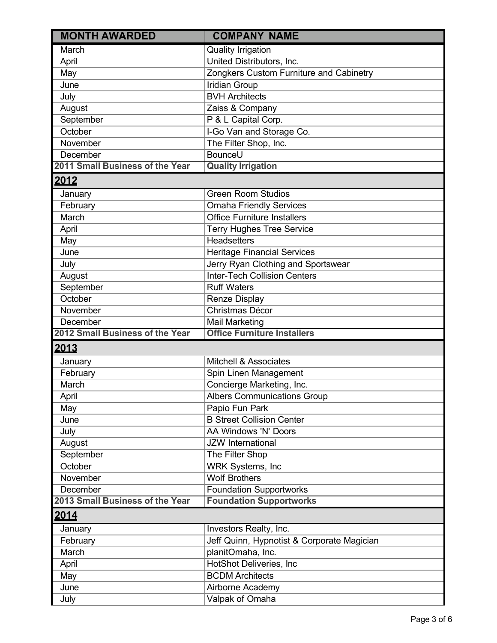| <b>MONTH AWARDED</b>            | <b>COMPANY NAME</b>                        |
|---------------------------------|--------------------------------------------|
| March                           | <b>Quality Irrigation</b>                  |
| April                           | United Distributors, Inc.                  |
| May                             | Zongkers Custom Furniture and Cabinetry    |
| June                            | <b>Iridian Group</b>                       |
| July                            | <b>BVH Architects</b>                      |
| August                          | Zaiss & Company                            |
| September                       | P & L Capital Corp.                        |
| October                         | I-Go Van and Storage Co.                   |
| November                        | The Filter Shop, Inc.                      |
| December                        | BounceU                                    |
| 2011 Small Business of the Year | <b>Quality Irrigation</b>                  |
| 2012                            |                                            |
| January                         | <b>Green Room Studios</b>                  |
| February                        | <b>Omaha Friendly Services</b>             |
| March                           | <b>Office Furniture Installers</b>         |
| April                           | <b>Terry Hughes Tree Service</b>           |
| May                             | <b>Headsetters</b>                         |
| June                            | <b>Heritage Financial Services</b>         |
| July                            | Jerry Ryan Clothing and Sportswear         |
| August                          | <b>Inter-Tech Collision Centers</b>        |
| September                       | <b>Ruff Waters</b>                         |
| October                         | Renze Display                              |
| November                        | Christmas Décor                            |
| December                        | Mail Marketing                             |
| 2012 Small Business of the Year | <b>Office Furniture Installers</b>         |
| 2013                            |                                            |
| January                         | <b>Mitchell &amp; Associates</b>           |
| February                        | Spin Linen Management                      |
| March                           | Concierge Marketing, Inc.                  |
| April                           | <b>Albers Communications Group</b>         |
| May                             | Papio Fun Park                             |
| June                            | <b>B Street Collision Center</b>           |
| July                            | AA Windows 'N' Doors                       |
| August                          | <b>JZW</b> International                   |
| September                       | The Filter Shop                            |
| October                         | <b>WRK Systems, Inc.</b>                   |
| November                        | <b>Wolf Brothers</b>                       |
| December                        | <b>Foundation Supportworks</b>             |
| 2013 Small Business of the Year | <b>Foundation Supportworks</b>             |
| 2014                            |                                            |
| January                         | Investors Realty, Inc.                     |
| February                        | Jeff Quinn, Hypnotist & Corporate Magician |
| March                           | planitOmaha, Inc.                          |
| April                           | HotShot Deliveries, Inc                    |
| May                             | <b>BCDM Architects</b>                     |
| June                            | Airborne Academy                           |
| July                            | Valpak of Omaha                            |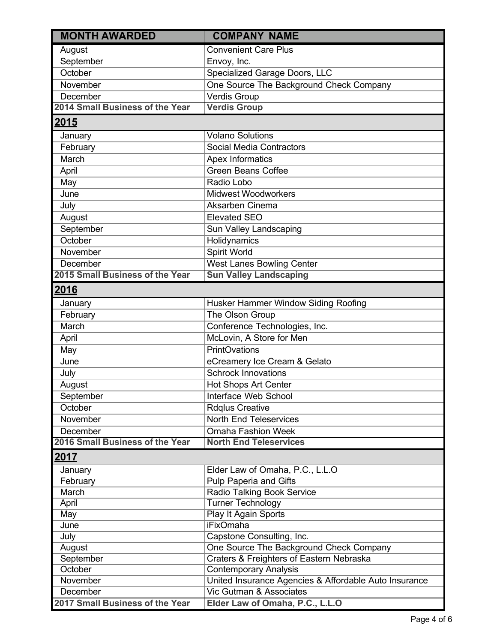| <b>MONTH AWARDED</b>            | <b>COMPANY NAME</b>                                   |
|---------------------------------|-------------------------------------------------------|
| August                          | <b>Convenient Care Plus</b>                           |
| September                       | Envoy, Inc.                                           |
| October                         | Specialized Garage Doors, LLC                         |
| November                        | One Source The Background Check Company               |
| December                        | Verdis Group                                          |
| 2014 Small Business of the Year | <b>Verdis Group</b>                                   |
| 2015                            |                                                       |
| January                         | <b>Volano Solutions</b>                               |
| February                        | Social Media Contractors                              |
| March                           | Apex Informatics                                      |
| April                           | <b>Green Beans Coffee</b>                             |
| May                             | Radio Lobo                                            |
| June                            | <b>Midwest Woodworkers</b>                            |
| July                            | Aksarben Cinema                                       |
| August                          | <b>Elevated SEO</b>                                   |
| September                       | Sun Valley Landscaping                                |
| October                         | Holidynamics                                          |
| November                        | <b>Spirit World</b>                                   |
| December                        | <b>West Lanes Bowling Center</b>                      |
| 2015 Small Business of the Year | <b>Sun Valley Landscaping</b>                         |
| <u> 2016</u>                    |                                                       |
| January                         | Husker Hammer Window Siding Roofing                   |
| February                        | The Olson Group                                       |
| March                           | Conference Technologies, Inc.                         |
| April                           | McLovin, A Store for Men                              |
| May                             | <b>PrintOvations</b>                                  |
| June                            | eCreamery Ice Cream & Gelato                          |
| July                            | <b>Schrock Innovations</b>                            |
| August                          | <b>Hot Shops Art Center</b>                           |
| September                       | Interface Web School                                  |
| October                         | <b>Rdglus Creative</b>                                |
| November                        | <b>North End Teleservices</b>                         |
| December                        | <b>Omaha Fashion Week</b>                             |
| 2016 Small Business of the Year | <b>North End Teleservices</b>                         |
| 2017                            |                                                       |
| January                         | Elder Law of Omaha, P.C., L.L.O                       |
| February                        | Pulp Paperia and Gifts                                |
| March                           | <b>Radio Talking Book Service</b>                     |
| April                           | <b>Turner Technology</b>                              |
| May                             | Play It Again Sports                                  |
| June                            | <b>iFixOmaha</b>                                      |
| July                            | Capstone Consulting, Inc.                             |
| August                          | One Source The Background Check Company               |
| September                       | Craters & Freighters of Eastern Nebraska              |
| October                         | <b>Contemporary Analysis</b>                          |
| November                        | United Insurance Agencies & Affordable Auto Insurance |
| December                        | <b>Vic Gutman &amp; Associates</b>                    |
| 2017 Small Business of the Year | Elder Law of Omaha, P.C., L.L.O                       |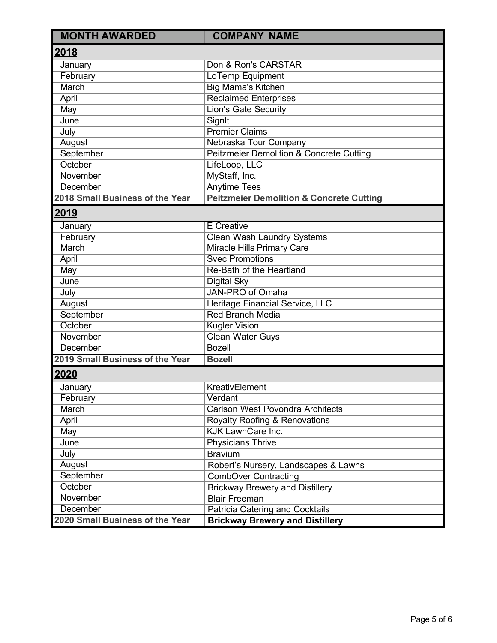| <b>MONTH AWARDED</b>            | <b>COMPANY NAME</b>                                 |
|---------------------------------|-----------------------------------------------------|
| 2018                            |                                                     |
| January                         | Don & Ron's CARSTAR                                 |
| February                        | LoTemp Equipment                                    |
| <b>March</b>                    | <b>Big Mama's Kitchen</b>                           |
| April                           | <b>Reclaimed Enterprises</b>                        |
| May                             | <b>Lion's Gate Security</b>                         |
| June                            | SignIt                                              |
| July                            | <b>Premier Claims</b>                               |
| August                          | Nebraska Tour Company                               |
| September                       | <b>Peitzmeier Demolition &amp; Concrete Cutting</b> |
| October                         | LifeLoop, LLC                                       |
| November                        | MyStaff, Inc.                                       |
| December                        | <b>Anytime Tees</b>                                 |
| 2018 Small Business of the Year | <b>Peitzmeier Demolition &amp; Concrete Cutting</b> |
| 2019                            |                                                     |
| January                         | <b>E</b> Creative                                   |
| February                        | <b>Clean Wash Laundry Systems</b>                   |
| March                           | <b>Miracle Hills Primary Care</b>                   |
| April                           | <b>Svec Promotions</b>                              |
| May                             | Re-Bath of the Heartland                            |
| June                            | <b>Digital Sky</b>                                  |
| July                            | <b>JAN-PRO of Omaha</b>                             |
| August                          | Heritage Financial Service, LLC                     |
| September                       | <b>Red Branch Media</b>                             |
| October                         | <b>Kugler Vision</b>                                |
| November                        | Clean Water Guys                                    |
| December                        | <b>Bozell</b>                                       |
| 2019 Small Business of the Year | <b>Bozell</b>                                       |
| 2020                            |                                                     |
| January                         | KreativElement                                      |
| February                        | Verdant                                             |
| March                           | <b>Carlson West Povondra Architects</b>             |
| April                           | <b>Royalty Roofing &amp; Renovations</b>            |
| May                             | <b>KJK LawnCare Inc.</b>                            |
| June                            | <b>Physicians Thrive</b>                            |
| July                            | <b>Bravium</b>                                      |
| August                          | Robert's Nursery, Landscapes & Lawns                |
| September                       | <b>CombOver Contracting</b>                         |
| October                         | <b>Brickway Brewery and Distillery</b>              |
| November                        | <b>Blair Freeman</b>                                |
| <b>December</b>                 | Patricia Catering and Cocktails                     |
| 2020 Small Business of the Year | <b>Brickway Brewery and Distillery</b>              |